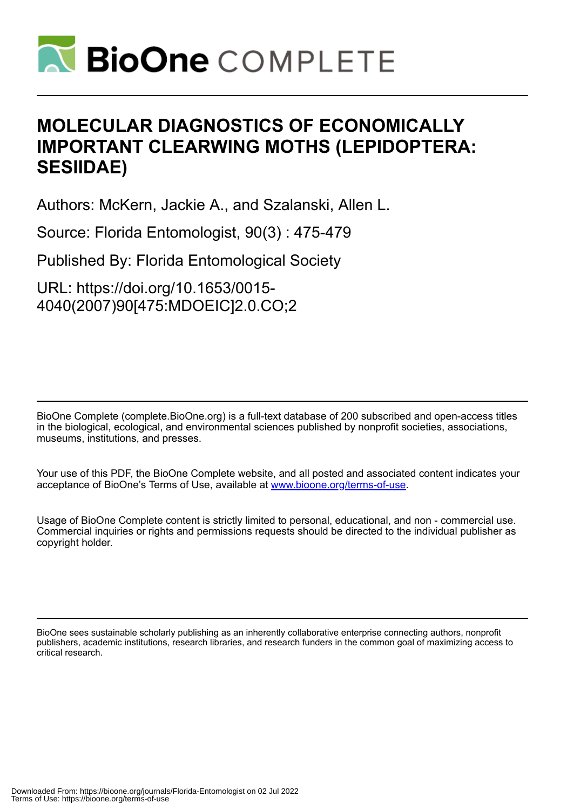

# **MOLECULAR DIAGNOSTICS OF ECONOMICALLY IMPORTANT CLEARWING MOTHS (LEPIDOPTERA: SESIIDAE)**

Authors: McKern, Jackie A., and Szalanski, Allen L.

Source: Florida Entomologist, 90(3) : 475-479

Published By: Florida Entomological Society

URL: https://doi.org/10.1653/0015- 4040(2007)90[475:MDOEIC]2.0.CO;2

BioOne Complete (complete.BioOne.org) is a full-text database of 200 subscribed and open-access titles in the biological, ecological, and environmental sciences published by nonprofit societies, associations, museums, institutions, and presses.

Your use of this PDF, the BioOne Complete website, and all posted and associated content indicates your acceptance of BioOne's Terms of Use, available at www.bioone.org/terms-of-use.

Usage of BioOne Complete content is strictly limited to personal, educational, and non - commercial use. Commercial inquiries or rights and permissions requests should be directed to the individual publisher as copyright holder.

BioOne sees sustainable scholarly publishing as an inherently collaborative enterprise connecting authors, nonprofit publishers, academic institutions, research libraries, and research funders in the common goal of maximizing access to critical research.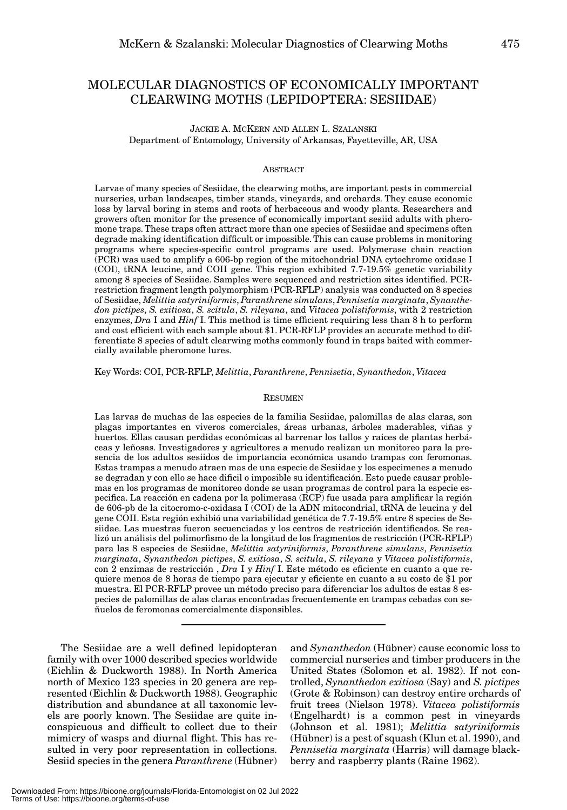# MOLECULAR DIAGNOSTICS OF ECONOMICALLY IMPORTANT CLEARWING MOTHS (LEPIDOPTERA: SESIIDAE)

JACKIE A. MCKERN AND ALLEN L. SZALANSKI Department of Entomology, University of Arkansas, Fayetteville, AR, USA

#### **ABSTRACT**

Larvae of many species of Sesiidae, the clearwing moths, are important pests in commercial nurseries, urban landscapes, timber stands, vineyards, and orchards. They cause economic loss by larval boring in stems and roots of herbaceous and woody plants. Researchers and growers often monitor for the presence of economically important sesiid adults with pheromone traps. These traps often attract more than one species of Sesiidae and specimens often degrade making identification difficult or impossible. This can cause problems in monitoring programs where species-specific control programs are used. Polymerase chain reaction (PCR) was used to amplify a 606-bp region of the mitochondrial DNA cytochrome oxidase I (COI), tRNA leucine, and COII gene. This region exhibited 7.7-19.5% genetic variability among 8 species of Sesiidae. Samples were sequenced and restriction sites identified. PCRrestriction fragment length polymorphism (PCR-RFLP) analysis was conducted on 8 species of Sesiidae, *Melittia satyriniformis*, *Paranthrene simulans*, *Pennisetia marginata*, *Synanthedon pictipes*, *S. exitiosa*, *S. scitula*, *S. rileyana*, and *Vitacea polistiformis*, with 2 restriction enzymes, *Dra* I and *Hinf* I. This method is time efficient requiring less than 8 h to perform and cost efficient with each sample about \$1. PCR-RFLP provides an accurate method to differentiate 8 species of adult clearwing moths commonly found in traps baited with commercially available pheromone lures.

Key Words: COI, PCR-RFLP, *Melittia*, *Paranthrene*, *Pennisetia*, *Synanthedon*, *Vitacea*

### RESUMEN

Las larvas de muchas de las especies de la familia Sesiidae, palomillas de alas claras, son plagas importantes en viveros comerciales, áreas urbanas, árboles maderables, viñas y huertos. Ellas causan perdidas económicas al barrenar los tallos y raices de plantas herbáceas y leñosas. Investigadores y agricultores a menudo realizan un monitoreo para la presencia de los adultos sesiidos de importancia económica usando trampas con feromonas. Estas trampas a menudo atraen mas de una especie de Sesiidae y los especimenes a menudo se degradan y con ello se hace dificil o imposible su identificación. Esto puede causar problemas en los programas de monitoreo donde se usan programas de control para la especie especifica. La reacción en cadena por la polimerasa (RCP) fue usada para amplificar la región de 606-pb de la citocromo-c-oxidasa I (COI) de la ADN mitocondrial, tRNA de leucina y del gene COII. Esta región exhibió una variabilidad genética de 7.7-19.5% entre 8 species de Sesiidae. Las muestras fueron secuenciadas y los centros de restricción identificados. Se realizó un análisis del polimorfismo de la longitud de los fragmentos de restricción (PCR-RFLP) para las 8 especies de Sesiidae, *Melittia satyriniformis*, *Paranthrene simulans*, *Pennisetia marginata*, *Synanthedon pictipes*, *S. exitiosa*, *S. scitula*, *S. rileyana* y *Vitacea polistiformis*, con 2 enzimas de restricción , *Dra* I y *Hinf* I. Este método es eficiente en cuanto a que requiere menos de 8 horas de tiempo para ejecutar y eficiente en cuanto a su costo de \$1 por muestra. El PCR-RFLP provee un método preciso para diferenciar los adultos de estas 8 especies de palomillas de alas claras encontradas frecuentemente en trampas cebadas con señuelos de feromonas comercialmente disponsibles.

The Sesiidae are a well defined lepidopteran family with over 1000 described species worldwide (Eichlin & Duckworth 1988). In North America north of Mexico 123 species in 20 genera are represented (Eichlin & Duckworth 1988). Geographic distribution and abundance at all taxonomic levels are poorly known. The Sesiidae are quite inconspicuous and difficult to collect due to their mimicry of wasps and diurnal flight. This has resulted in very poor representation in collections. Sesiid species in the genera *Paranthrene* (Hübner)

and *Synanthedon* (Hübner) cause economic loss to commercial nurseries and timber producers in the United States (Solomon et al. 1982). If not controlled, *Synanthedon exitiosa* (Say) and *S. pictipes* (Grote & Robinson) can destroy entire orchards of fruit trees (Nielson 1978). *Vitacea polistiformis* (Engelhardt) is a common pest in vineyards (Johnson et al. 1981); *Melittia satyriniformis* (Hübner) is a pest of squash (Klun et al. 1990), and *Pennisetia marginata* (Harris) will damage blackberry and raspberry plants (Raine 1962).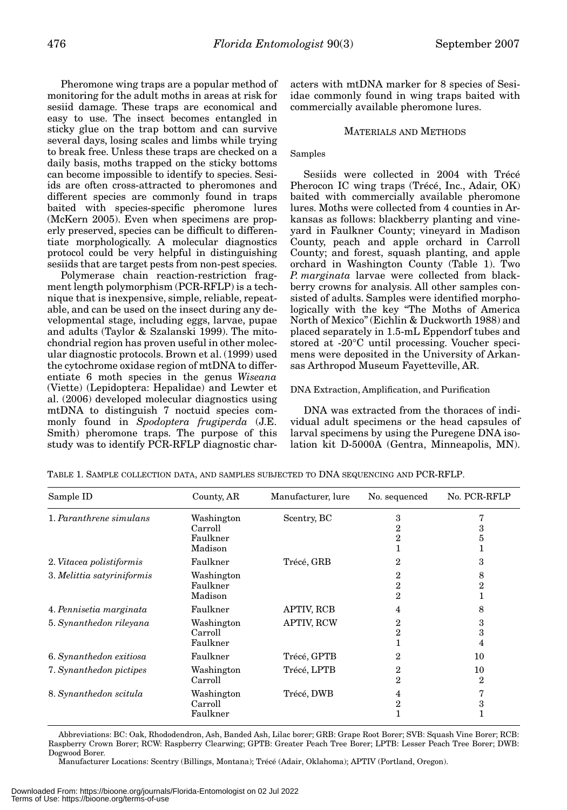Pheromone wing traps are a popular method of monitoring for the adult moths in areas at risk for sesiid damage. These traps are economical and easy to use. The insect becomes entangled in sticky glue on the trap bottom and can survive several days, losing scales and limbs while trying to break free. Unless these traps are checked on a daily basis, moths trapped on the sticky bottoms can become impossible to identify to species. Sesiids are often cross-attracted to pheromones and different species are commonly found in traps baited with species-specific pheromone lures (McKern 2005). Even when specimens are properly preserved, species can be difficult to differentiate morphologically. A molecular diagnostics protocol could be very helpful in distinguishing sesiids that are target pests from non-pest species.

Polymerase chain reaction-restriction fragment length polymorphism (PCR-RFLP) is a technique that is inexpensive, simple, reliable, repeatable, and can be used on the insect during any developmental stage, including eggs, larvae, pupae and adults (Taylor & Szalanski 1999). The mitochondrial region has proven useful in other molecular diagnostic protocols. Brown et al. (1999) used the cytochrome oxidase region of mtDNA to differentiate 6 moth species in the genus *Wiseana* (Viette) (Lepidoptera: Hepalidae) and Lewter et al. (2006) developed molecular diagnostics using mtDNA to distinguish 7 noctuid species commonly found in *Spodoptera frugiperda* (J.E. Smith) pheromone traps. The purpose of this study was to identify PCR-RFLP diagnostic char-

acters with mtDNA marker for 8 species of Sesiidae commonly found in wing traps baited with commercially available pheromone lures.

# MATERIALS AND METHODS

# Samples

Sesiids were collected in 2004 with Trécé Pherocon IC wing traps (Trécé, Inc., Adair, OK) baited with commercially available pheromone lures. Moths were collected from 4 counties in Arkansas as follows: blackberry planting and vineyard in Faulkner County; vineyard in Madison County, peach and apple orchard in Carroll County; and forest, squash planting, and apple orchard in Washington County (Table 1). Two *P. marginata* larvae were collected from blackberry crowns for analysis. All other samples consisted of adults. Samples were identified morphologically with the key "The Moths of America North of Mexico" (Eichlin & Duckworth 1988) and placed separately in 1.5-mL Eppendorf tubes and stored at -20°C until processing. Voucher specimens were deposited in the University of Arkansas Arthropod Museum Fayetteville, AR.

DNA Extraction, Amplification, and Purification

DNA was extracted from the thoraces of individual adult specimens or the head capsules of larval specimens by using the Puregene DNA isolation kit D-5000A (Gentra, Minneapolis, MN).

| Sample ID                  | County, AR                                   | Manufacturer, lure | No. sequenced          | No. PCR-RFLP      |
|----------------------------|----------------------------------------------|--------------------|------------------------|-------------------|
| 1. Paranthrene simulans    | Washington<br>Carroll<br>Faulkner<br>Madison | Scentry, BC        | 3<br>2<br>2            | 3<br>5            |
| 2. Vitacea polistiformis   | Faulkner                                     | Trécé, GRB         | 2                      | 3                 |
| 3. Melittia satyriniformis | Washington<br>Faulkner<br>Madison            |                    | 2<br>$\mathbf{2}$<br>2 | 8<br>$\mathbf{2}$ |
| 4. Pennisetia marginata    | Faulkner                                     | APTIV, RCB         | 4                      | 8                 |
| 5. Synanthedon rileyana    | Washington<br>Carroll<br>Faulkner            | <b>APTIV, RCW</b>  | 2<br>2                 | 3<br>3<br>4       |
| 6. Synanthedon exitiosa    | Faulkner                                     | Trécé, GPTB        | 2                      | 10                |
| 7. Synanthedon pictipes    | Washington<br>Carroll                        | Trécé, LPTB        | 2<br>2                 | 10<br>2           |
| 8. Synanthedon scitula     | Washington<br>Carroll<br>Faulkner            | Trécé, DWB         | 4<br>$\overline{2}$    | г,<br>3           |

TABLE 1. SAMPLE COLLECTION DATA, AND SAMPLES SUBJECTED TO DNA SEQUENCING AND PCR-RFLP.

Abbreviations: BC: Oak, Rhododendron, Ash, Banded Ash, Lilac borer; GRB: Grape Root Borer; SVB: Squash Vine Borer; RCB: Raspberry Crown Borer; RCW: Raspberry Clearwing; GPTB: Greater Peach Tree Borer; LPTB: Lesser Peach Tree Borer; DWB: Dogwood Borer.

Manufacturer Locations: Scentry (Billings, Montana); Trécé (Adair, Oklahoma); APTIV (Portland, Oregon).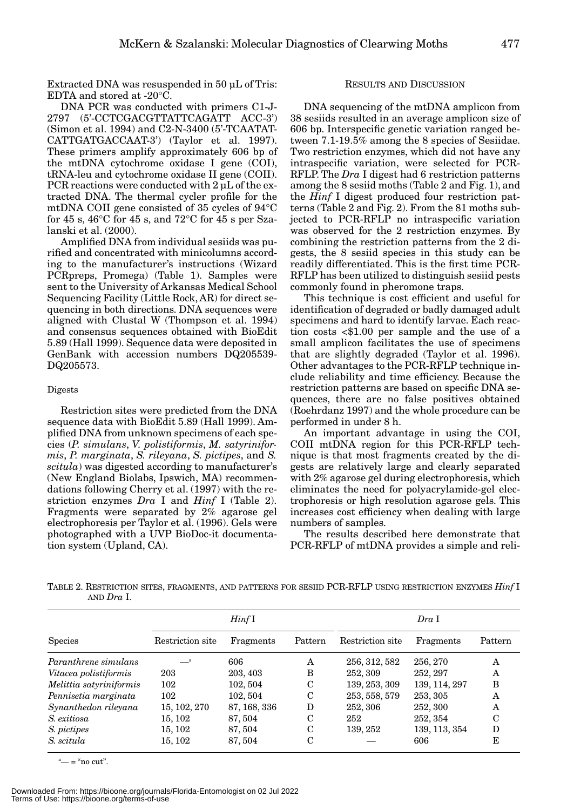Extracted DNA was resuspended in 50 µL of Tris: EDTA and stored at -20°C.

DNA PCR was conducted with primers C1-J-2797 (5'-CCTCGACGTTATTCAGATT ACC-3') (Simon et al. 1994) and C2-N-3400 (5'-TCAATAT-CATTGATGACCAAT-3') (Taylor et al. 1997). These primers amplify approximately 606 bp of the mtDNA cytochrome oxidase I gene (COI), tRNA-leu and cytochrome oxidase II gene (COII). PCR reactions were conducted with 2 µL of the extracted DNA. The thermal cycler profile for the mtDNA COII gene consisted of 35 cycles of 94°C for 45 s, 46 $\degree$ C for 45 s, and 72 $\degree$ C for 45 s per Szalanski et al. (2000).

Amplified DNA from individual sesiids was purified and concentrated with minicolumns according to the manufacturer's instructions (Wizard PCRpreps, Promega) (Table 1). Samples were sent to the University of Arkansas Medical School Sequencing Facility (Little Rock, AR) for direct sequencing in both directions. DNA sequences were aligned with Clustal W (Thompson et al. 1994) and consensus sequences obtained with BioEdit 5.89 (Hall 1999). Sequence data were deposited in GenBank with accession numbers DQ205539- DQ205573.

### Digests

Restriction sites were predicted from the DNA sequence data with BioEdit 5.89 (Hall 1999). Amplified DNA from unknown specimens of each species (*P. simulans*, *V. polistiformis*, *M. satyriniformis*, *P. marginata*, *S. rileyana*, *S. pictipes*, and *S. scitula*) was digested according to manufacturer's (New England Biolabs, Ipswich, MA) recommendations following Cherry et al. (1997) with the restriction enzymes *Dra* I and *Hinf* I (Table 2). Fragments were separated by 2% agarose gel electrophoresis per Taylor et al. (1996). Gels were photographed with a UVP BioDoc-it documentation system (Upland, CA).

# RESULTS AND DISCUSSION

DNA sequencing of the mtDNA amplicon from 38 sesiids resulted in an average amplicon size of 606 bp. Interspecific genetic variation ranged between 7.1-19.5% among the 8 species of Sesiidae. Two restriction enzymes, which did not have any intraspecific variation, were selected for PCR-RFLP. The *Dra* I digest had 6 restriction patterns among the 8 sesiid moths (Table 2 and Fig. 1), and the *Hinf* I digest produced four restriction patterns (Table 2 and Fig. 2). From the 81 moths subjected to PCR-RFLP no intraspecific variation was observed for the 2 restriction enzymes. By combining the restriction patterns from the 2 digests, the 8 sesiid species in this study can be readily differentiated. This is the first time PCR-RFLP has been utilized to distinguish sesiid pests commonly found in pheromone traps.

This technique is cost efficient and useful for identification of degraded or badly damaged adult specimens and hard to identify larvae. Each reaction costs <\$1.00 per sample and the use of a small amplicon facilitates the use of specimens that are slightly degraded (Taylor et al. 1996). Other advantages to the PCR-RFLP technique include reliability and time efficiency. Because the restriction patterns are based on specific DNA sequences, there are no false positives obtained (Roehrdanz 1997) and the whole procedure can be performed in under 8 h.

An important advantage in using the COI, COII mtDNA region for this PCR-RFLP technique is that most fragments created by the digests are relatively large and clearly separated with 2% agarose gel during electrophoresis, which eliminates the need for polyacrylamide-gel electrophoresis or high resolution agarose gels. This increases cost efficiency when dealing with large numbers of samples.

The results described here demonstrate that PCR-RFLP of mtDNA provides a simple and reli-

TABLE 2. RESTRICTION SITES, FRAGMENTS, AND PATTERNS FOR SESIID PCR-RFLP USING RESTRICTION ENZYMES *Hinf* I AND *Dra* I.

|                         | $Hint$ I         |              |         | Dra I            |               |         |
|-------------------------|------------------|--------------|---------|------------------|---------------|---------|
| <b>Species</b>          | Restriction site | Fragments    | Pattern | Restriction site | Fragments     | Pattern |
| Paranthrene simulans    |                  | 606          | A       | 256, 312, 582    | 256, 270      | A       |
| Vitacea polistiformis   | 203              | 203, 403     | B       | 252, 309         | 252, 297      | A       |
| Melittia satyriniformis | 102              | 102, 504     | C       | 139, 253, 309    | 139, 114, 297 | B       |
| Pennisetia marginata    | 102              | 102, 504     | C       | 253, 558, 579    | 253, 305      | A       |
| Synanthedon rileyana    | 15, 102, 270     | 87, 168, 336 | D       | 252, 306         | 252, 300      | A       |
| S. exitiosa             | 15, 102          | 87, 504      | C       | 252              | 252, 354      | C       |
| S. pictipes             | 15, 102          | 87, 504      | C       | 139, 252         | 139, 113, 354 | D       |
| S. scitula              | 15, 102          | 87, 504      | С       |                  | 606           | E       |

 $\alpha^*$  = "no cut".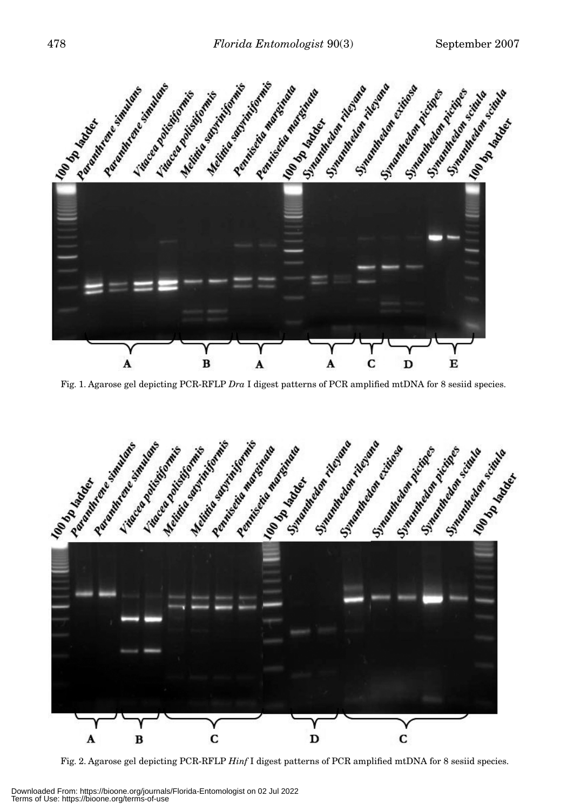

Fig. 1. Agarose gel depicting PCR-RFLP *Dra* I digest patterns of PCR amplified mtDNA for 8 sesiid species.



Fig. 2. Agarose gel depicting PCR-RFLP *Hinf* I digest patterns of PCR amplified mtDNA for 8 sesiid species.